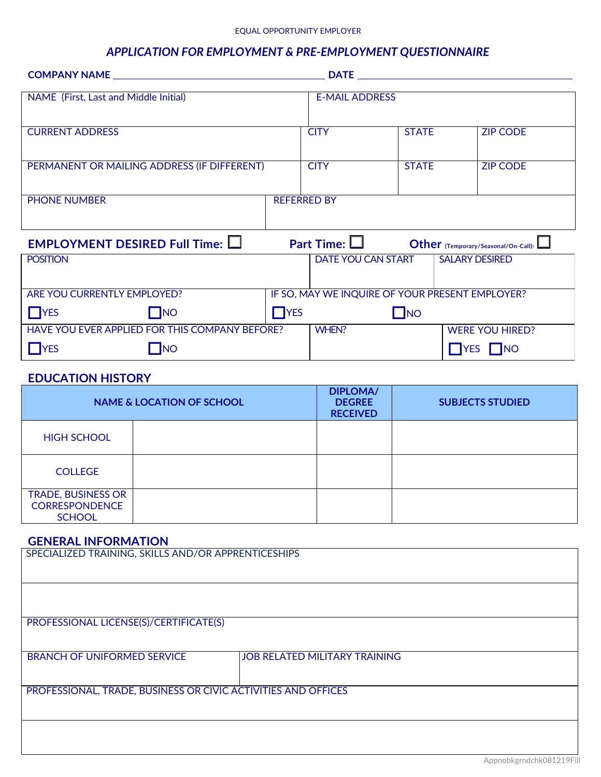#### EQUAL OPPORTUNITY EMPLOYER

# *APPLICATION FOR EMPLOYMENT & PRE-EMPLOYMENT QUESTIONNAIRE*

|                                                        |                    |                       |              | <b>DATE <i>DATE</i></b>                         |
|--------------------------------------------------------|--------------------|-----------------------|--------------|-------------------------------------------------|
| NAME (First, Last and Middle Initial)                  |                    | <b>E-MAIL ADDRESS</b> |              |                                                 |
| <b>CURRENT ADDRESS</b>                                 |                    | <b>CITY</b>           | <b>STATE</b> | <b>ZIP CODE</b>                                 |
| PERMANENT OR MAILING ADDRESS (IF DIFFERENT)            |                    | <b>CITY</b>           | <b>STATE</b> | <b>ZIP CODE</b>                                 |
| <b>PHONE NUMBER</b>                                    | <b>REFERRED BY</b> |                       |              |                                                 |
| <b>EMPLOYMENT DESIRED Full Time: <math>\Box</math></b> |                    | Part Time: $\Box$     |              | Other (Temporary/Seasonal/On-Call):             |
| <b>POSITION</b>                                        |                    | DATE YOU CAN START    |              | <b>SALARY DESIRED</b>                           |
| ARE YOU CURRENTLY EMPLOYED?                            |                    |                       |              | IF SO, MAY WE INQUIRE OF YOUR PRESENT EMPLOYER? |
| $\prod$ YES<br>$\Box$ NO                               | $\Box$ YES         |                       | $\Box$ NO    |                                                 |
| HAVE YOU EVER APPLIED FOR THIS COMPANY BEFORE?         |                    | WHEN?                 |              | <b>WERE YOU HIRED?</b>                          |
| $\mathsf{T}$ NO<br><b>TYES</b>                         |                    |                       |              | $\Box$ YES $\Box$ NO                            |

# **EDUCATION HISTORY**

|                                                                     | <b>NAME &amp; LOCATION OF SCHOOL</b> | <b>DIPLOMA/</b><br><b>DEGREE</b><br><b>RECEIVED</b> | <b>SUBJECTS STUDIED</b> |
|---------------------------------------------------------------------|--------------------------------------|-----------------------------------------------------|-------------------------|
| <b>HIGH SCHOOL</b>                                                  |                                      |                                                     |                         |
| <b>COLLEGE</b>                                                      |                                      |                                                     |                         |
| <b>TRADE, BUSINESS OR</b><br><b>CORRESPONDENCE</b><br><b>SCHOOL</b> |                                      |                                                     |                         |

## **GENERAL INFORMATION**

| SPECIALIZED TRAINING, SKILLS AND/OR APPRENTICESHIPS           |                                      |  |  |
|---------------------------------------------------------------|--------------------------------------|--|--|
|                                                               |                                      |  |  |
|                                                               |                                      |  |  |
|                                                               |                                      |  |  |
|                                                               |                                      |  |  |
|                                                               |                                      |  |  |
|                                                               |                                      |  |  |
|                                                               |                                      |  |  |
|                                                               |                                      |  |  |
| PROFESSIONAL LICENSE(S)/CERTIFICATE(S)                        |                                      |  |  |
|                                                               |                                      |  |  |
|                                                               |                                      |  |  |
|                                                               |                                      |  |  |
|                                                               |                                      |  |  |
| <b>BRANCH OF UNIFORMED SERVICE</b>                            | <b>JOB RELATED MILITARY TRAINING</b> |  |  |
|                                                               |                                      |  |  |
|                                                               |                                      |  |  |
|                                                               |                                      |  |  |
| PROFESSIONAL, TRADE, BUSINESS OR CIVIC ACTIVITIES AND OFFICES |                                      |  |  |
|                                                               |                                      |  |  |
|                                                               |                                      |  |  |
|                                                               |                                      |  |  |
|                                                               |                                      |  |  |
|                                                               |                                      |  |  |
|                                                               |                                      |  |  |
|                                                               |                                      |  |  |
|                                                               |                                      |  |  |